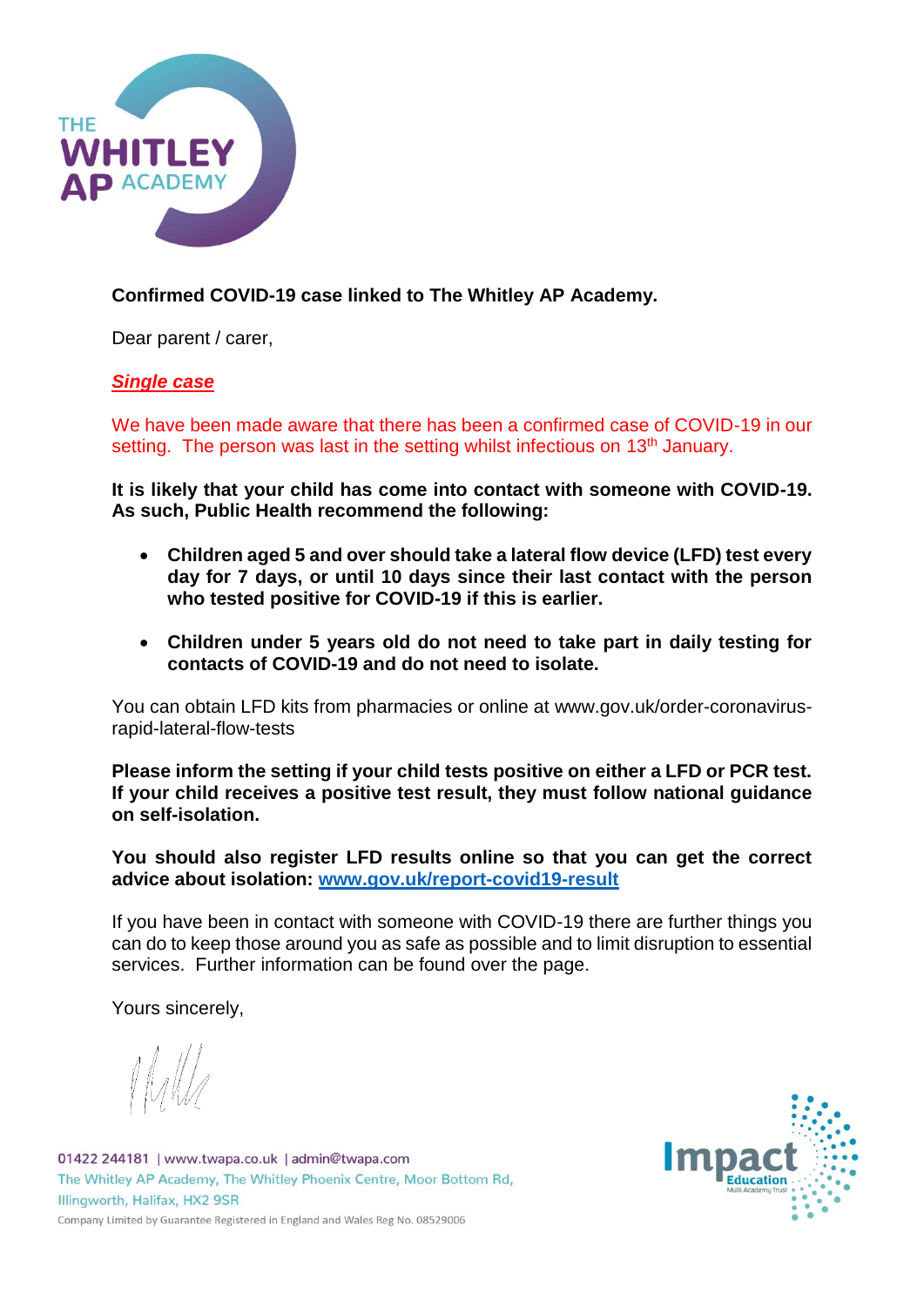

## **Confirmed COVID-19 case linked to The Whitley AP Academy.**

Dear parent / carer,

## *Single case*

We have been made aware that there has been a confirmed case of COVID-19 in our setting. The person was last in the setting whilst infectious on 13<sup>th</sup> January.

**It is likely that your child has come into contact with someone with COVID-19. As such, Public Health recommend the following:**

- **Children aged 5 and over should take a lateral flow device (LFD) test every day for 7 days, or until 10 days since their last contact with the person who tested positive for COVID-19 if this is earlier.**
- **Children under 5 years old do not need to take part in daily testing for contacts of COVID-19 and do not need to isolate.**

You can obtain LFD kits from pharmacies or online at www.gov.uk/order-coronavirusrapid-lateral-flow-tests

**Please inform the setting if your child tests positive on either a LFD or PCR test. If your child receives a positive test result, they must follow national guidance on self-isolation.**

**You should also register LFD results online so that you can get the correct advice about isolation: [www.gov.uk/report-covid19-result](http://www.gov.uk/report-covid19-result)**

If you have been in contact with someone with COVID-19 there are further things you can do to keep those around you as safe as possible and to limit disruption to essential services. Further information can be found over the page.

Yours sincerely,

01422 244181 | www.twapa.co.uk | admin@twapa.com The Whitley AP Academy, The Whitley Phoenix Centre, Moor Bottom Rd, Illingworth, Halifax, HX2 9SR Company Limited by Guarantee Registered in England and Wales Reg No. 08529006

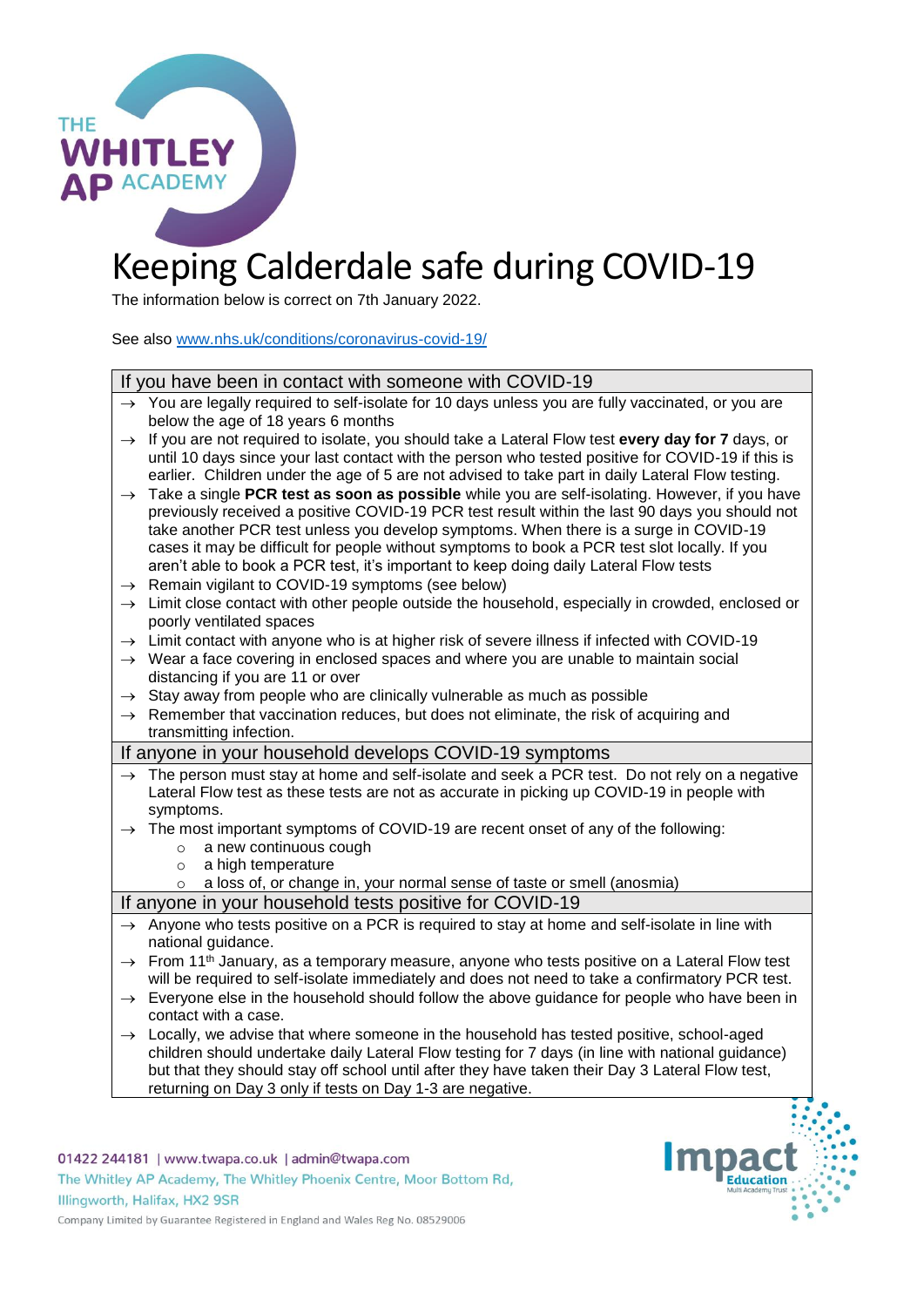

# Keeping Calderdale safe during COVID-19

The information below is correct on 7th January 2022.

See also [www.nhs.uk/conditions/coronavirus-covid-19/](http://www.nhs.uk/conditions/coronavirus-covid-19/)

| If you have been in contact with someone with COVID-19 |                                                                                                                                                                                                                                                                                                                                                                                                                                                                                   |
|--------------------------------------------------------|-----------------------------------------------------------------------------------------------------------------------------------------------------------------------------------------------------------------------------------------------------------------------------------------------------------------------------------------------------------------------------------------------------------------------------------------------------------------------------------|
|                                                        | $\rightarrow$ You are legally required to self-isolate for 10 days unless you are fully vaccinated, or you are<br>below the age of 18 years 6 months                                                                                                                                                                                                                                                                                                                              |
| $\rightarrow$                                          | If you are not required to isolate, you should take a Lateral Flow test every day for 7 days, or<br>until 10 days since your last contact with the person who tested positive for COVID-19 if this is<br>earlier. Children under the age of 5 are not advised to take part in daily Lateral Flow testing.                                                                                                                                                                         |
| $\rightarrow$                                          | Take a single PCR test as soon as possible while you are self-isolating. However, if you have<br>previously received a positive COVID-19 PCR test result within the last 90 days you should not<br>take another PCR test unless you develop symptoms. When there is a surge in COVID-19<br>cases it may be difficult for people without symptoms to book a PCR test slot locally. If you<br>aren't able to book a PCR test, it's important to keep doing daily Lateral Flow tests |
|                                                        | $\rightarrow$ Remain vigilant to COVID-19 symptoms (see below)                                                                                                                                                                                                                                                                                                                                                                                                                    |
|                                                        | $\rightarrow$ Limit close contact with other people outside the household, especially in crowded, enclosed or<br>poorly ventilated spaces                                                                                                                                                                                                                                                                                                                                         |
|                                                        | $\rightarrow$ Limit contact with anyone who is at higher risk of severe illness if infected with COVID-19                                                                                                                                                                                                                                                                                                                                                                         |
|                                                        | $\rightarrow$ Wear a face covering in enclosed spaces and where you are unable to maintain social<br>distancing if you are 11 or over                                                                                                                                                                                                                                                                                                                                             |
|                                                        | $\rightarrow$ Stay away from people who are clinically vulnerable as much as possible                                                                                                                                                                                                                                                                                                                                                                                             |
|                                                        | $\rightarrow$ Remember that vaccination reduces, but does not eliminate, the risk of acquiring and<br>transmitting infection.                                                                                                                                                                                                                                                                                                                                                     |
| If anyone in your household develops COVID-19 symptoms |                                                                                                                                                                                                                                                                                                                                                                                                                                                                                   |
|                                                        | $\rightarrow$ The person must stay at home and self-isolate and seek a PCR test. Do not rely on a negative<br>Lateral Flow test as these tests are not as accurate in picking up COVID-19 in people with<br>symptoms.                                                                                                                                                                                                                                                             |
|                                                        | $\rightarrow$ The most important symptoms of COVID-19 are recent onset of any of the following:<br>a new continuous cough<br>$\circ$<br>a high temperature<br>$\circ$                                                                                                                                                                                                                                                                                                             |
|                                                        | a loss of, or change in, your normal sense of taste or smell (anosmia)<br>$\circ$                                                                                                                                                                                                                                                                                                                                                                                                 |
|                                                        | If anyone in your household tests positive for COVID-19                                                                                                                                                                                                                                                                                                                                                                                                                           |
|                                                        | $\rightarrow$ Anyone who tests positive on a PCR is required to stay at home and self-isolate in line with<br>national guidance.                                                                                                                                                                                                                                                                                                                                                  |
|                                                        | $\rightarrow$ From 11 <sup>th</sup> January, as a temporary measure, anyone who tests positive on a Lateral Flow test<br>will be required to self-isolate immediately and does not need to take a confirmatory PCR test.                                                                                                                                                                                                                                                          |
|                                                        | $\rightarrow$ Everyone else in the household should follow the above guidance for people who have been in                                                                                                                                                                                                                                                                                                                                                                         |
|                                                        | contact with a case.                                                                                                                                                                                                                                                                                                                                                                                                                                                              |
|                                                        | $\rightarrow$ Locally, we advise that where someone in the household has tested positive, school-aged                                                                                                                                                                                                                                                                                                                                                                             |

 $\rightarrow$  Locally, we advise that where someone in the household has tested positive, school-aged children should undertake daily Lateral Flow testing for 7 days (in line with national guidance) but that they should stay off school until after they have taken their Day 3 Lateral Flow test, returning on Day 3 only if tests on Day 1-3 are negative.